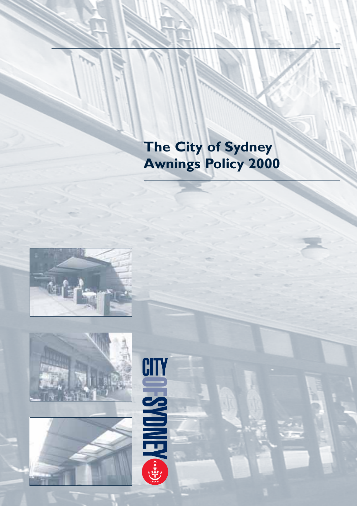# **The City of Sydney Awnings Policy 2000**





CITY

**DESSMOKEK** 

 $\begin{array}{c}\n\ast \\
\uparrow \\
\uparrow\n\end{array}$ 

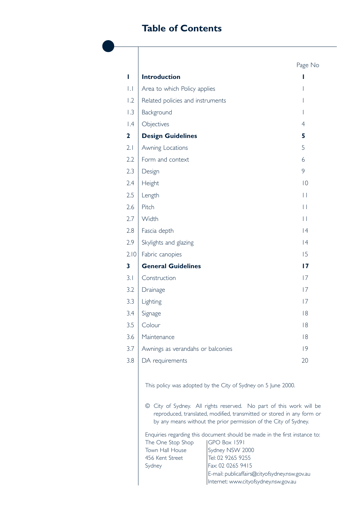## **Table of Contents**

|                         |                                                                   |                                                                                                                                                                                                                                                                                                                                                                  | Page No        |
|-------------------------|-------------------------------------------------------------------|------------------------------------------------------------------------------------------------------------------------------------------------------------------------------------------------------------------------------------------------------------------------------------------------------------------------------------------------------------------|----------------|
| I                       | <b>Introduction</b>                                               |                                                                                                                                                                                                                                                                                                                                                                  | ı              |
| $\vert \cdot \vert$     | Area to which Policy applies                                      |                                                                                                                                                                                                                                                                                                                                                                  |                |
| 1.2                     | Related policies and instruments                                  |                                                                                                                                                                                                                                                                                                                                                                  | T              |
| 1.3                     | Background                                                        |                                                                                                                                                                                                                                                                                                                                                                  | T              |
| $\mathsf{I}.\mathsf{4}$ | Objectives                                                        |                                                                                                                                                                                                                                                                                                                                                                  | $\overline{4}$ |
| 2                       | <b>Design Guidelines</b>                                          |                                                                                                                                                                                                                                                                                                                                                                  | 5              |
| 2. I                    | Awning Locations                                                  |                                                                                                                                                                                                                                                                                                                                                                  | 5              |
| 2.2                     | Form and context                                                  |                                                                                                                                                                                                                                                                                                                                                                  | 6              |
| 2.3                     | Design                                                            |                                                                                                                                                                                                                                                                                                                                                                  | 9              |
| 2.4                     | Height                                                            |                                                                                                                                                                                                                                                                                                                                                                  | $ 0\rangle$    |
| 2.5                     | Length                                                            |                                                                                                                                                                                                                                                                                                                                                                  | $\mathbf{L}$   |
| 2.6                     | Pitch                                                             |                                                                                                                                                                                                                                                                                                                                                                  | $\mathbf{H}$   |
| 2.7                     | Width                                                             |                                                                                                                                                                                                                                                                                                                                                                  | $\mathbf{L}$   |
| 2.8                     | Fascia depth                                                      |                                                                                                                                                                                                                                                                                                                                                                  | 4              |
| 2.9                     | Skylights and glazing                                             |                                                                                                                                                                                                                                                                                                                                                                  | 4              |
| 2.10                    | Fabric canopies                                                   |                                                                                                                                                                                                                                                                                                                                                                  | 15             |
| 3                       | <b>General Guidelines</b>                                         |                                                                                                                                                                                                                                                                                                                                                                  | 17             |
| 3.1                     | Construction                                                      |                                                                                                                                                                                                                                                                                                                                                                  | 7              |
| 3.2                     | Drainage                                                          |                                                                                                                                                                                                                                                                                                                                                                  | 7              |
| 3.3                     | Lighting                                                          |                                                                                                                                                                                                                                                                                                                                                                  | 7              |
| 3.4                     | Signage                                                           |                                                                                                                                                                                                                                                                                                                                                                  | 8              |
| 3.5                     | Colour                                                            |                                                                                                                                                                                                                                                                                                                                                                  | 8              |
| 3.6                     | Maintenance                                                       |                                                                                                                                                                                                                                                                                                                                                                  | 8              |
| 3.7                     | Awnings as verandahs or balconies                                 |                                                                                                                                                                                                                                                                                                                                                                  | 9              |
| 3.8                     | DA requirements                                                   |                                                                                                                                                                                                                                                                                                                                                                  | 20             |
|                         |                                                                   | This policy was adopted by the City of Sydney on 5 June 2000.<br>© City of Sydney. All rights reserved. No part of this work will be<br>reproduced, translated, modified, transmitted or stored in any form or<br>by any means without the prior permission of the City of Sydney.<br>Enquiries regarding this document should be made in the first instance to: |                |
|                         | The One Stop Shop<br>Town Hall House<br>456 Kent Street<br>Sydney | GPO Box 1591<br>Sydney NSW 2000<br>Tel: 02 9265 9255<br>Fax: 02 0265 9415                                                                                                                                                                                                                                                                                        |                |

E-mail: publicaffairs@cityofsydney.nsw.gov.au Internet: www.cityofsydney.nsw.gov.au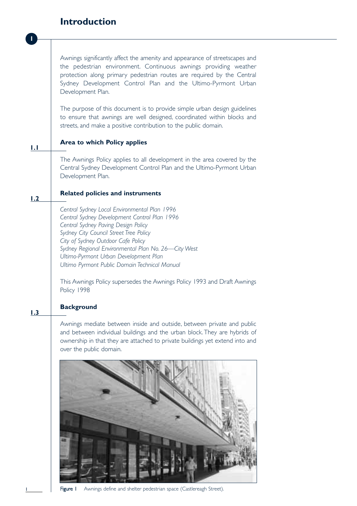### **Introduction**

**1**

Awnings significantly affect the amenity and appearance of streetscapes and the pedestrian environment. Continuous awnings providing weather protection along primary pedestrian routes are required by the Central Sydney Development Control Plan and the Ultimo-Pyrmont Urban Development Plan.

The purpose of this document is to provide simple urban design guidelines to ensure that awnings are well designed, coordinated within blocks and streets, and make a positive contribution to the public domain.

#### **Area to which Policy applies 1.1**

The Awnings Policy applies to all development in the area covered by the Central Sydney Development Control Plan and the Ultimo-Pyrmont Urban Development Plan.

#### **Related policies and instruments 1.2**

*Central Sydney Local Environmental Plan 1996 Central Sydney Development Control Plan 1996 Central Sydney Paving Design Policy Sydney City Council Street Tree Policy City of Sydney Outdoor Cafe Policy Sydney Regional Environmental Plan No. 26—City West Ultimo-Pyrmont Urban Development Plan Ultimo Pyrmont Public Domain Technical Manual*

This Awnings Policy supersedes the Awnings Policy 1993 and Draft Awnings Policy 1998

#### **Background 1.3**

Awnings mediate between inside and outside, between private and public and between individual buildings and the urban block. They are hybrids of ownership in that they are attached to private buildings yet extend into and over the public domain.



Figure I Awnings define and shelter pedestrian space (Castlereagh Street).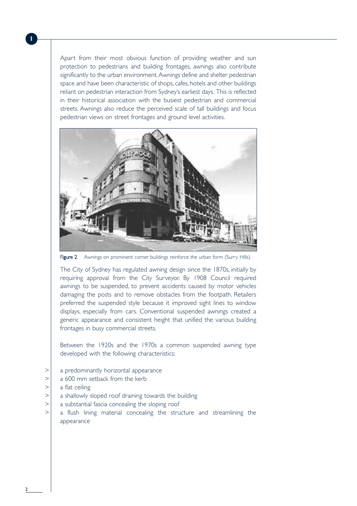Apart from their most obvious function of providing weather and sun protection to pedestrians and building frontages, awnings also contribute significantly to the urban environment.Awnings define and shelter pedestrian space and have been characteristic of shops, cafes, hotels and other buildings reliant on pedestrian interaction from Sydney's earliest days. This is reflected in their historical association with the busiest pedestrian and commercial streets. Awnings also reduce the perceived scale of tall buildings and focus pedestrian views on street frontages and ground level activities.



Figure 2 Awnings on prominent corner buildings reinforce the urban form (Surry Hills).

The City of Sydney has regulated awning design since the 1870s, initially by requiring approval from the City Surveyor. By 1908 Council required awnings to be suspended, to prevent accidents caused by motor vehicles damaging the posts and to remove obstacles from the footpath. Retailers preferred the suspended style because it improved sight lines to window displays, especially from cars. Conventional suspended awnings created a generic appearance and consistent height that unified the various building frontages in busy commercial streets.

Between the 1920s and the 1970s a common suspended awning type developed with the following characteristics:

- > | a predominantly horizontal appearance
- $> 2$  a 600 mm setback from the kerb
- $>$  a flat ceiling
- $>$  a shallowly sloped roof draining towards the building
- $>$  a substantial fascia concealing the sloping roof
- $>$  a flush lining material concealing the structure and streamlining the appearance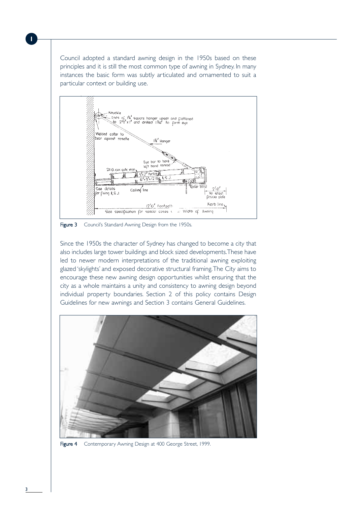Council adopted a standard awning design in the 1950s based on these principles and it is still the most common type of awning in Sydney. In many instances the basic form was subtly articulated and ornamented to suit a particular context or building use.



Figure 3 Council's Standard Awning Design from the 1950s.

Since the 1950s the character of Sydney has changed to become a city that also includes large tower buildings and block sized developments.These have led to newer modern interpretations of the traditional awning exploiting glazed 'skylights' and exposed decorative structural framing.The City aims to encourage these new awning design opportunities whilst ensuring that the city as a whole maintains a unity and consistency to awning design beyond individual property boundaries. Section 2 of this policy contains Design Guidelines for new awnings and Section 3 contains General Guidelines.



Figure 4 Contemporary Awning Design at 400 George Street, 1999.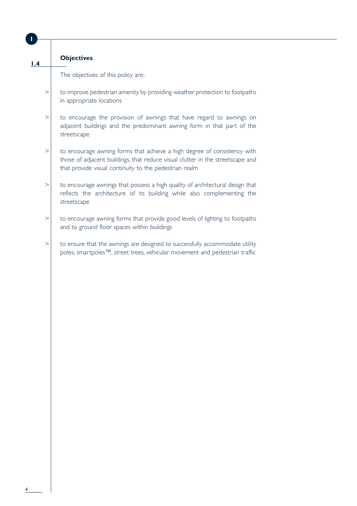| 1.4      | <b>Objectives</b>                                                                                                                                                                                                    |
|----------|----------------------------------------------------------------------------------------------------------------------------------------------------------------------------------------------------------------------|
|          | The objectives of this policy are:.                                                                                                                                                                                  |
| $\rm{>}$ | to improve pedestrian amenity by providing weather protection to footpaths<br>in appropriate locations                                                                                                               |
| $\rm{>}$ | to encourage the provision of awnings that have regard to awnings on<br>adjacent buildings and the predominant awning form in that part of the<br>streetscape                                                        |
| $\rm{>}$ | to encourage awning forms that achieve a high degree of consistency with<br>those of adjacent buildings, that reduce visual clutter in the streetscape and<br>that provide visual continuity to the pedestrian realm |
| $\rm{>}$ | to encourage awnings that possess a high quality of architectural design that<br>reflects the architecture of its building while also complementing the<br>streetscape                                               |
| $\rm{>}$ | to encourage awning forms that provide good levels of lighting to footpaths<br>and to ground floor spaces within buildings                                                                                           |
| $\rm{>}$ | to ensure that the awnings are designed to successfully accommodate utility<br>poles, smartpoles™, street trees, vehicular movement and pedestrian traffic                                                           |
|          |                                                                                                                                                                                                                      |
|          |                                                                                                                                                                                                                      |
|          |                                                                                                                                                                                                                      |
|          |                                                                                                                                                                                                                      |
|          |                                                                                                                                                                                                                      |
|          |                                                                                                                                                                                                                      |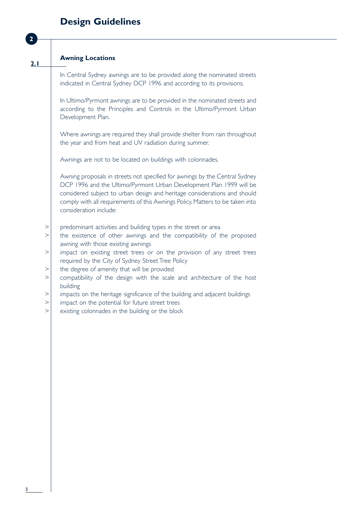## **Design Guidelines**

| 2.1      | <b>Awning Locations</b>                                                                                                                                                                                                                                                                                                                    |
|----------|--------------------------------------------------------------------------------------------------------------------------------------------------------------------------------------------------------------------------------------------------------------------------------------------------------------------------------------------|
|          | In Central Sydney awnings are to be provided along the nominated streets<br>indicated in Central Sydney DCP 1996 and according to its provisions.                                                                                                                                                                                          |
|          | In Ultimo/Pyrmont awnings are to be provided in the nominated streets and<br>according to the Principles and Controls in the Ultimo/Pyrmont Urban<br>Development Plan.                                                                                                                                                                     |
|          | Where awnings are required they shall provide shelter from rain throughout<br>the year and from heat and UV radiation during summer.                                                                                                                                                                                                       |
|          | Awnings are not to be located on buildings with colonnades.                                                                                                                                                                                                                                                                                |
|          | Awning proposals in streets not specified for awnings by the Central Sydney<br>DCP 1996 and the Ultimo/Pyrmont Urban Development Plan 1999 will be<br>considered subject to urban design and heritage considerations and should<br>comply with all requirements of this Awnings Policy. Matters to be taken into<br>consideration include: |
| ><br>>   | predominant activities and building types in the street or area<br>the existence of other awnings and the compatibility of the proposed                                                                                                                                                                                                    |
|          | awning with those existing awnings                                                                                                                                                                                                                                                                                                         |
| >        | impact on existing street trees or on the provision of any street trees<br>required by the City of Sydney Street Tree Policy                                                                                                                                                                                                               |
| $\rm{>}$ | the degree of amenity that will be provided                                                                                                                                                                                                                                                                                                |
| >        | compatibility of the design with the scale and architecture of the host<br>building                                                                                                                                                                                                                                                        |
| >        | impacts on the heritage significance of the building and adjacent buildings                                                                                                                                                                                                                                                                |
| >        | impact on the potential for future street trees                                                                                                                                                                                                                                                                                            |
| >        | existing colonnades in the building or the block                                                                                                                                                                                                                                                                                           |
|          |                                                                                                                                                                                                                                                                                                                                            |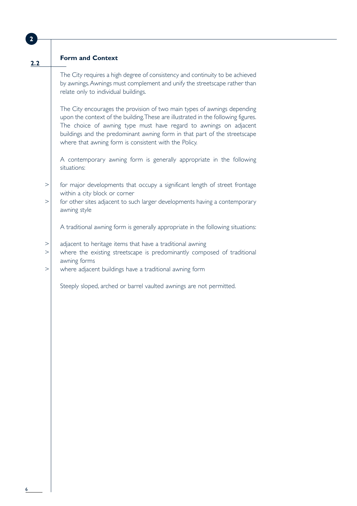| $\overline{2}$       |                                                                                                                                                                                                                                                                                                                                                                          |
|----------------------|--------------------------------------------------------------------------------------------------------------------------------------------------------------------------------------------------------------------------------------------------------------------------------------------------------------------------------------------------------------------------|
|                      |                                                                                                                                                                                                                                                                                                                                                                          |
| 2.2                  | <b>Form and Context</b>                                                                                                                                                                                                                                                                                                                                                  |
|                      | The City requires a high degree of consistency and continuity to be achieved<br>by awnings. Awnings must complement and unify the streetscape rather than<br>relate only to individual buildings.                                                                                                                                                                        |
|                      | The City encourages the provision of two main types of awnings depending<br>upon the context of the building. These are illustrated in the following figures.<br>The choice of awning type must have regard to awnings on adjacent<br>buildings and the predominant awning form in that part of the streetscape<br>where that awning form is consistent with the Policy. |
|                      | A contemporary awning form is generally appropriate in the following<br>situations:                                                                                                                                                                                                                                                                                      |
| $\rm{>}$<br>$\rm{>}$ | for major developments that occupy a significant length of street frontage<br>within a city block or corner<br>for other sites adjacent to such larger developments having a contemporary                                                                                                                                                                                |
|                      | awning style<br>A traditional awning form is generally appropriate in the following situations:                                                                                                                                                                                                                                                                          |
| ><br>$\rm{>}$        | adjacent to heritage items that have a traditional awning<br>where the existing streetscape is predominantly composed of traditional<br>awning forms                                                                                                                                                                                                                     |
| $\rm{>}$             | where adjacent buildings have a traditional awning form                                                                                                                                                                                                                                                                                                                  |
|                      | Steeply sloped, arched or barrel vaulted awnings are not permitted.                                                                                                                                                                                                                                                                                                      |
|                      |                                                                                                                                                                                                                                                                                                                                                                          |
|                      |                                                                                                                                                                                                                                                                                                                                                                          |
|                      |                                                                                                                                                                                                                                                                                                                                                                          |
|                      |                                                                                                                                                                                                                                                                                                                                                                          |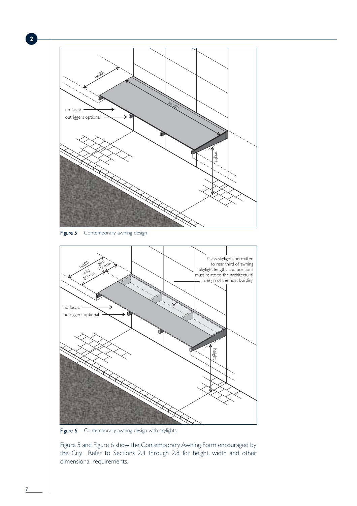

Figure 6 Contemporary awning design with skylights

Figure 5 and Figure 6 show the Contemporary Awning Form encouraged by the City. Refer to Sections 2.4 through 2.8 for height, width and other dimensional requirements.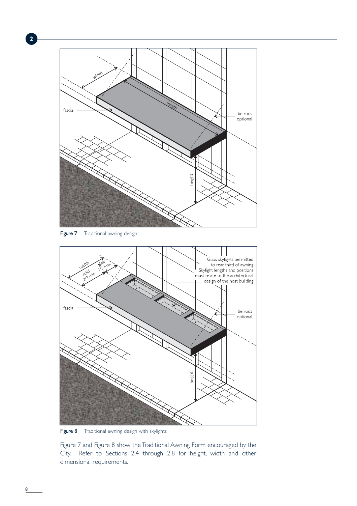

Figure 8 Traditional awning design with skylights

Figure 7 and Figure 8 show the Traditional Awning Form encouraged by the City. Refer to Sections 2.4 through 2.8 for height, width and other dimensional requirements.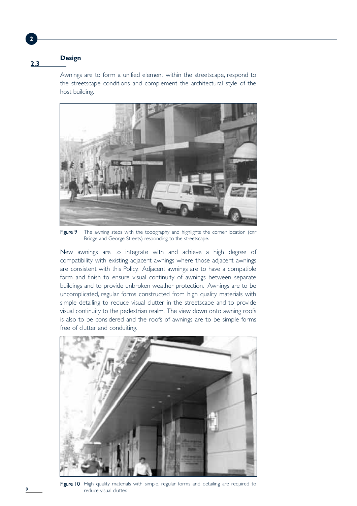**2.3**

### **Design**

Awnings are to form a unified element within the streetscape, respond to the streetscape conditions and complement the architectural style of the host building.



Figure 9 The awning steps with the topography and highlights the corner location (cnr Bridge and George Streets) responding to the streetscape.

New awnings are to integrate with and achieve a high degree of compatibility with existing adjacent awnings where those adjacent awnings are consistent with this Policy. Adjacent awnings are to have a compatible form and finish to ensure visual continuity of awnings between separate buildings and to provide unbroken weather protection. Awnings are to be uncomplicated, regular forms constructed from high quality materials with simple detailing to reduce visual clutter in the streetscape and to provide visual continuity to the pedestrian realm. The view down onto awning roofs is also to be considered and the roofs of awnings are to be simple forms free of clutter and conduiting.



Figure 10 High quality materials with simple, regular forms and detailing are required to reduce visual clutter.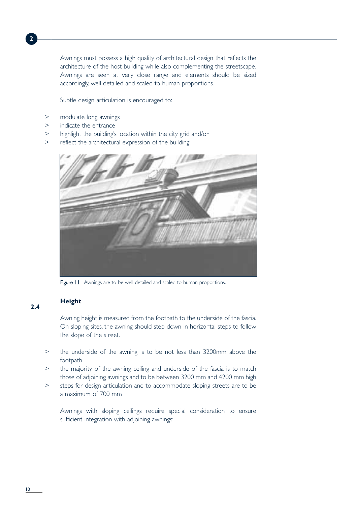Awnings must possess a high quality of architectural design that reflects the architecture of the host building while also complementing the streetscape. Awnings are seen at very close range and elements should be sized accordingly, well detailed and scaled to human proportions.

Subtle design articulation is encouraged to:

- > modulate long awnings
- > indicate the entrance

**2**

- $\ge$  highlight the building's location within the city grid and/or
- $>$  reflect the architectural expression of the building



Figure 11 Awnings are to be well detailed and scaled to human proportions.

### **Height**

**2.4**

Awning height is measured from the footpath to the underside of the fascia. On sloping sites, the awning should step down in horizontal steps to follow the slope of the street.

- $\ge$  the underside of the awning is to be not less than 3200mm above the footpath
- $\ge$  the majority of the awning ceiling and underside of the fascia is to match those of adjoining awnings and to be between 3200 mm and 4200 mm high
- $>$  steps for design articulation and to accommodate sloping streets are to be a maximum of 700 mm

Awnings with sloping ceilings require special consideration to ensure sufficient integration with adjoining awnings: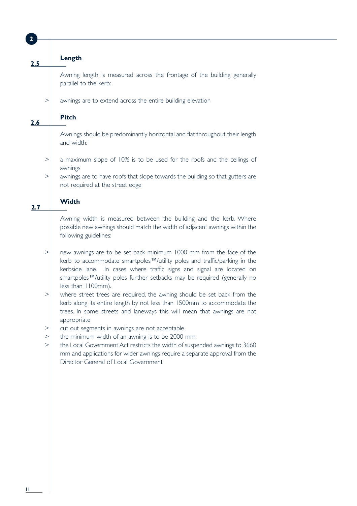| $\overline{2}$ |                                                                                                                                                                                                                                                                                                                            |
|----------------|----------------------------------------------------------------------------------------------------------------------------------------------------------------------------------------------------------------------------------------------------------------------------------------------------------------------------|
|                |                                                                                                                                                                                                                                                                                                                            |
|                | Length                                                                                                                                                                                                                                                                                                                     |
| 2.5            |                                                                                                                                                                                                                                                                                                                            |
|                | Awning length is measured across the frontage of the building generally<br>parallel to the kerb:                                                                                                                                                                                                                           |
| $\rm{>}$       | awnings are to extend across the entire building elevation                                                                                                                                                                                                                                                                 |
|                |                                                                                                                                                                                                                                                                                                                            |
| 2.6            | <b>Pitch</b>                                                                                                                                                                                                                                                                                                               |
|                | Awnings should be predominantly horizontal and flat throughout their length<br>and width:                                                                                                                                                                                                                                  |
| >              | a maximum slope of 10% is to be used for the roofs and the ceilings of<br>awnings                                                                                                                                                                                                                                          |
| $\rm{>}$       | awnings are to have roofs that slope towards the building so that gutters are<br>not required at the street edge                                                                                                                                                                                                           |
| 2.7            | <b>Width</b>                                                                                                                                                                                                                                                                                                               |
|                | Awning width is measured between the building and the kerb. Where<br>possible new awnings should match the width of adjacent awnings within the<br>following guidelines:                                                                                                                                                   |
| $\rm{>}$       | new awnings are to be set back minimum 1000 mm from the face of the<br>kerb to accommodate smartpoles™/utility poles and traffic/parking in the<br>kerbside lane. In cases where traffic signs and signal are located on<br>smartpoles™/utility poles further setbacks may be required (generally no<br>less than 1100mm). |
| $\rm{>}$       | where street trees are required, the awning should be set back from the<br>kerb along its entire length by not less than 1500mm to accommodate the<br>trees. In some streets and laneways this will mean that awnings are not<br>appropriate                                                                               |
| $\rm{>}$       | cut out segments in awnings are not acceptable                                                                                                                                                                                                                                                                             |
| $\rm{>}$       | the minimum width of an awning is to be 2000 mm                                                                                                                                                                                                                                                                            |
| >              | the Local Government Act restricts the width of suspended awnings to 3660<br>mm and applications for wider awnings require a separate approval from the<br>Director General of Local Government                                                                                                                            |
|                |                                                                                                                                                                                                                                                                                                                            |
|                |                                                                                                                                                                                                                                                                                                                            |
|                |                                                                                                                                                                                                                                                                                                                            |
|                |                                                                                                                                                                                                                                                                                                                            |
|                |                                                                                                                                                                                                                                                                                                                            |
|                |                                                                                                                                                                                                                                                                                                                            |
|                |                                                                                                                                                                                                                                                                                                                            |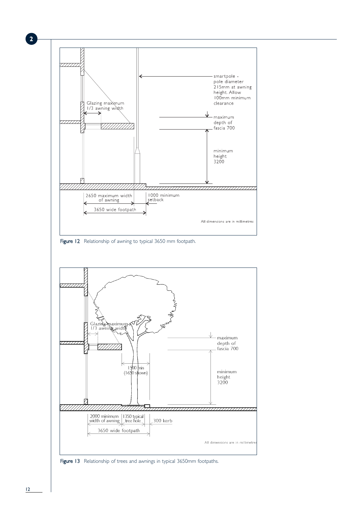

 $12$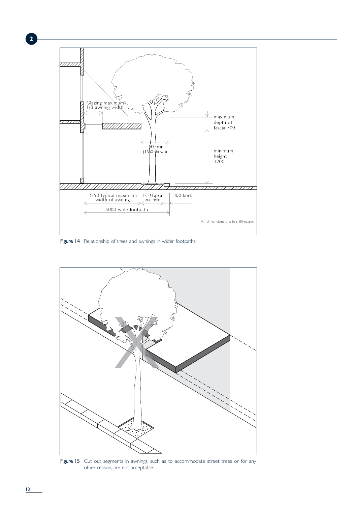

Figure 14 Relationship of trees and awnings in wider footpaths.



Figure 15 Cut out segments in awnings, such as to accommodate street trees or for any other reason, are not acceptable.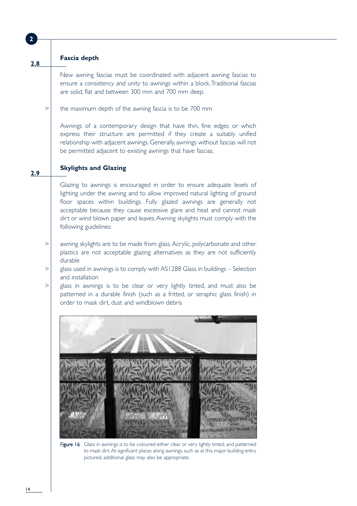|          | <b>Fascia depth</b>                                                                                                                                                                                                                                                                                                                                                                                            |
|----------|----------------------------------------------------------------------------------------------------------------------------------------------------------------------------------------------------------------------------------------------------------------------------------------------------------------------------------------------------------------------------------------------------------------|
|          | New awning fascias must be coordinated with adjacent awning fascias to<br>ensure a consistency and unity to awnings within a block. Traditional fascias<br>are solid, flat and between 300 mm and 700 mm deep.                                                                                                                                                                                                 |
| >        | the maximum depth of the awning fascia is to be 700 mm                                                                                                                                                                                                                                                                                                                                                         |
|          | Awnings of a contemporary design that have thin, fine edges or which<br>express their structure are permitted if they create a suitably unified<br>relationship with adjacent awnings. Generally, awnings without fascias will not<br>be permitted adjacent to existing awnings that have fascias.                                                                                                             |
|          | <b>Skylights and Glazing</b>                                                                                                                                                                                                                                                                                                                                                                                   |
|          | Glazing to awnings is encouraged in order to ensure adequate levels of<br>lighting under the awning and to allow improved natural lighting of ground<br>floor spaces within buildings. Fully glazed awnings are generally not<br>acceptable because they cause excessive glare and heat and cannot mask<br>dirt or wind blown paper and leaves. Awning skylights must comply with the<br>following guidelines: |
| $\rm{>}$ | awning skylights are to be made from glass. Acrylic, polycarbonate and other<br>plastics are not acceptable glazing alternatives as they are not sufficiently<br>durable                                                                                                                                                                                                                                       |
| $\,>$    | glass used in awnings is to comply with AS1288 Glass in buildings - Selection<br>and installation                                                                                                                                                                                                                                                                                                              |
| >        | glass in awnings is to be clear or very lightly tinted, and must also be<br>patterned in a durable finish (such as a fritted, or seraphic glass finish) in<br>order to mask dirt, dust and windblown debris                                                                                                                                                                                                    |
|          | Figure 16<br>Glass in awnings is to be coloured either clear or very lightly tinted, and patterned                                                                                                                                                                                                                                                                                                             |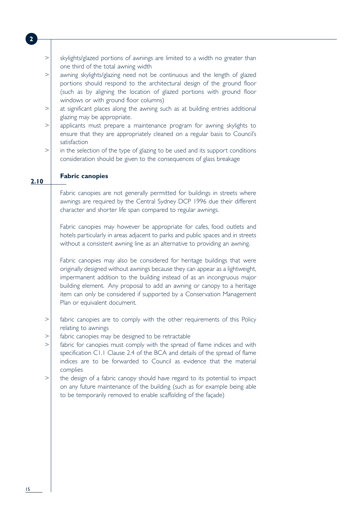| $\rm{>}$        | skylights/glazed portions of awnings are limited to a width no greater than                                     |  |
|-----------------|-----------------------------------------------------------------------------------------------------------------|--|
| $\rm{>}$        | one third of the total awning width<br>awning skylights/glazing need not be continuous and the length of glazed |  |
|                 | portions should respond to the architectural design of the ground floor                                         |  |
|                 | (such as by aligning the location of glazed portions with ground floor                                          |  |
|                 | windows or with ground floor columns)                                                                           |  |
| $\rm{>}$        | at significant places along the awning such as at building entries additional                                   |  |
|                 | glazing may be appropriate.                                                                                     |  |
| >               | applicants must prepare a maintenance program for awning skylights to                                           |  |
|                 | ensure that they are appropriately cleaned on a regular basis to Council's                                      |  |
|                 | satisfaction                                                                                                    |  |
| $\rm{>}$        | in the selection of the type of glazing to be used and its support conditions                                   |  |
|                 | consideration should be given to the consequences of glass breakage                                             |  |
|                 | <b>Fabric canopies</b>                                                                                          |  |
| $\overline{10}$ |                                                                                                                 |  |
|                 | Fabric canopies are not generally permitted for buildings in streets where                                      |  |
|                 | awnings are required by the Central Sydney DCP 1996 due their different                                         |  |
|                 | character and shorter life span compared to regular awnings.                                                    |  |
|                 |                                                                                                                 |  |
|                 | Fabric canopies may however be appropriate for cafes, food outlets and                                          |  |
|                 | hotels particularly in areas adjacent to parks and public spaces and in streets                                 |  |
|                 | without a consistent awning line as an alternative to providing an awning.                                      |  |
|                 | Fabric canopies may also be considered for heritage buildings that were                                         |  |
|                 | originally designed without awnings because they can appear as a lightweight,                                   |  |
|                 | impermanent addition to the building instead of as an incongruous major                                         |  |
|                 | building element. Any proposal to add an awning or canopy to a heritage                                         |  |
|                 | item can only be considered if supported by a Conservation Management                                           |  |
|                 | Plan or equivalent document.                                                                                    |  |
|                 |                                                                                                                 |  |
| $\rm{>}$        | fabric canopies are to comply with the other requirements of this Policy<br>relating to awnings                 |  |
| $\geq$          | fabric canopies may be designed to be retractable                                                               |  |
| >               | fabric for canopies must comply with the spread of flame indices and with                                       |  |
|                 | specification C1.1 Clause 2.4 of the BCA and details of the spread of flame                                     |  |
|                 | indices are to be forwarded to Council as evidence that the material                                            |  |
|                 | complies                                                                                                        |  |
| >               | the design of a fabric canopy should have regard to its potential to impact                                     |  |
|                 | on any future maintenance of the building (such as for example being able                                       |  |
|                 | to be temporarily removed to enable scaffolding of the façade)                                                  |  |
|                 |                                                                                                                 |  |
|                 |                                                                                                                 |  |
|                 |                                                                                                                 |  |
|                 |                                                                                                                 |  |
|                 |                                                                                                                 |  |
|                 |                                                                                                                 |  |
|                 |                                                                                                                 |  |

**2.10**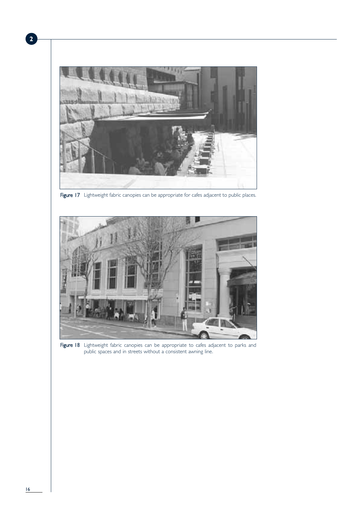

Figure 17 Lightweight fabric canopies can be appropriate for cafes adjacent to public places.



Figure 18 Lightweight fabric canopies can be appropriate to cafes adjacent to parks and public spaces and in streets without a consistent awning line.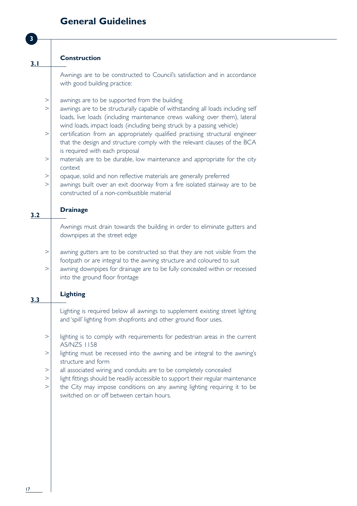## **General Guidelines**

|     |          | <b>Construction</b>                                                              |
|-----|----------|----------------------------------------------------------------------------------|
| 3.1 |          |                                                                                  |
|     |          | Awnings are to be constructed to Council's satisfaction and in accordance        |
|     |          | with good building practice:                                                     |
|     |          |                                                                                  |
|     | $\rm{>}$ | awnings are to be supported from the building                                    |
|     | >        | awnings are to be structurally capable of withstanding all loads including self  |
|     |          | loads, live loads (including maintenance crews walking over them), lateral       |
|     |          | wind loads, impact loads (including being struck by a passing vehicle)           |
|     | $\rm{>}$ | certification from an appropriately qualified practising structural engineer     |
|     |          | that the design and structure comply with the relevant clauses of the BCA        |
|     |          | is required with each proposal                                                   |
|     | >        | materials are to be durable, low maintenance and appropriate for the city        |
|     |          | context                                                                          |
|     | $\rm{>}$ | opaque, solid and non reflective materials are generally preferred               |
|     | >        | awnings built over an exit doorway from a fire isolated stairway are to be       |
|     |          | constructed of a non-combustible material                                        |
|     |          |                                                                                  |
|     |          | <b>Drainage</b>                                                                  |
| 3.2 |          |                                                                                  |
|     |          | Awnings must drain towards the building in order to eliminate gutters and        |
|     |          | downpipes at the street edge                                                     |
|     |          |                                                                                  |
|     | $\,>$    | awning gutters are to be constructed so that they are not visible from the       |
|     |          | footpath or are integral to the awning structure and coloured to suit            |
|     | >        | awning downpipes for drainage are to be fully concealed within or recessed       |
|     |          | into the ground floor frontage                                                   |
|     |          |                                                                                  |
|     |          | <b>Lighting</b>                                                                  |
| 3.3 |          |                                                                                  |
|     |          | Lighting is required below all awnings to supplement existing street lighting    |
|     |          | and 'spill' lighting from shopfronts and other ground floor uses.                |
|     |          |                                                                                  |
|     | $\rm{>}$ | lighting is to comply with requirements for pedestrian areas in the current      |
|     |          | <b>AS/NZS 1158</b>                                                               |
|     | $\rm{>}$ | lighting must be recessed into the awning and be integral to the awning's        |
|     |          | structure and form                                                               |
|     | $\rm{>}$ | all associated wiring and conduits are to be completely concealed                |
|     | $\rm{>}$ | light fittings should be readily accessible to support their regular maintenance |
|     | $\rm{>}$ | the City may impose conditions on any awning lighting requiring it to be         |
|     |          | switched on or off between certain hours.                                        |
|     |          |                                                                                  |
|     |          |                                                                                  |
|     |          |                                                                                  |
|     |          |                                                                                  |
|     |          |                                                                                  |
|     |          |                                                                                  |
|     |          |                                                                                  |
|     |          |                                                                                  |
|     |          |                                                                                  |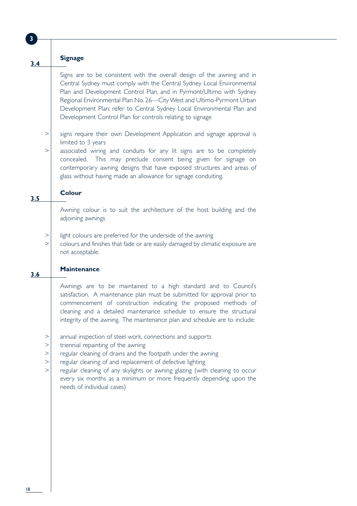| 3   |                                                    |                                                                                                                                                                                                                                                                                                                                                                                                                                           |
|-----|----------------------------------------------------|-------------------------------------------------------------------------------------------------------------------------------------------------------------------------------------------------------------------------------------------------------------------------------------------------------------------------------------------------------------------------------------------------------------------------------------------|
|     |                                                    |                                                                                                                                                                                                                                                                                                                                                                                                                                           |
| 3.4 |                                                    | <b>Signage</b>                                                                                                                                                                                                                                                                                                                                                                                                                            |
|     |                                                    | Signs are to be consistent with the overall design of the awning and in<br>Central Sydney must comply with the Central Sydney Local Environmental<br>Plan and Development Control Plan, and in Pyrmont/Ultimo with Sydney<br>Regional Environmental Plan No. 26-City West and Ultimo-Pyrmont Urban<br>Development Plan: refer to Central Sydney Local Environmental Plan and<br>Development Control Plan for controls relating to signage |
|     | ><br>$\rm{>}$                                      | signs require their own Development Application and signage approval is<br>limited to 3 years<br>associated wiring and conduits for any lit signs are to be completely<br>concealed. This may preclude consent being given for signage on<br>contemporary awning designs that have exposed structures and areas of<br>glass without having made an allowance for signage conduiting.                                                      |
| 3.5 |                                                    | <b>Colour</b>                                                                                                                                                                                                                                                                                                                                                                                                                             |
|     |                                                    | Awning colour is to suit the architecture of the host building and the<br>adjoining awnings                                                                                                                                                                                                                                                                                                                                               |
|     | $\rm{>}$<br>$\rm{>}$                               | light colours are preferred for the underside of the awning<br>colours and finishes that fade or are easily damaged by climatic exposure are<br>not acceptable.                                                                                                                                                                                                                                                                           |
| 3.6 |                                                    | <b>Maintenance</b>                                                                                                                                                                                                                                                                                                                                                                                                                        |
|     |                                                    | Awnings are to be maintained to a high standard and to Council's<br>satisfaction. A maintenance plan must be submitted for approval prior to<br>commencement of construction indicating the proposed methods of<br>cleaning and a detailed maintenance schedule to ensure the structural<br>integrity of the awning. The maintenance plan and schedule are to include:                                                                    |
|     | $\,>$<br>$\rm{>}$<br>$\rm{>}$<br>$\,>$<br>$\rm{>}$ | annual inspection of steel work, connections and supports<br>triennial repainting of the awning<br>regular cleaning of drains and the footpath under the awning<br>regular cleaning of and replacement of defective lighting<br>regular cleaning of any skylights or awning glazing (with cleaning to occur<br>every six months as a minimum or more frequently depending upon the<br>needs of individual cases)                          |
|     |                                                    |                                                                                                                                                                                                                                                                                                                                                                                                                                           |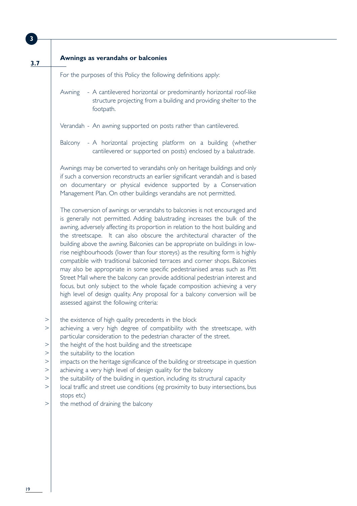| 3.7                     | Awnings as verandahs or balconies                                                                                                                                                                                                                                                                                                                                                                                                                                                                                                                                                                                                                                                                                                                                                                                                                                                                                                        |
|-------------------------|------------------------------------------------------------------------------------------------------------------------------------------------------------------------------------------------------------------------------------------------------------------------------------------------------------------------------------------------------------------------------------------------------------------------------------------------------------------------------------------------------------------------------------------------------------------------------------------------------------------------------------------------------------------------------------------------------------------------------------------------------------------------------------------------------------------------------------------------------------------------------------------------------------------------------------------|
|                         | For the purposes of this Policy the following definitions apply:                                                                                                                                                                                                                                                                                                                                                                                                                                                                                                                                                                                                                                                                                                                                                                                                                                                                         |
|                         | - A cantilevered horizontal or predominantly horizontal roof-like<br>Awning<br>structure projecting from a building and providing shelter to the<br>footpath.                                                                                                                                                                                                                                                                                                                                                                                                                                                                                                                                                                                                                                                                                                                                                                            |
|                         | Verandah - An awning supported on posts rather than cantilevered.                                                                                                                                                                                                                                                                                                                                                                                                                                                                                                                                                                                                                                                                                                                                                                                                                                                                        |
|                         | Balcony - A horizontal projecting platform on a building (whether<br>cantilevered or supported on posts) enclosed by a balustrade.                                                                                                                                                                                                                                                                                                                                                                                                                                                                                                                                                                                                                                                                                                                                                                                                       |
|                         | Awnings may be converted to verandahs only on heritage buildings and only<br>if such a conversion reconstructs an earlier significant verandah and is based<br>on documentary or physical evidence supported by a Conservation<br>Management Plan. On other buildings verandahs are not permitted.                                                                                                                                                                                                                                                                                                                                                                                                                                                                                                                                                                                                                                       |
|                         | The conversion of awnings or verandahs to balconies is not encouraged and<br>is generally not permitted. Adding balustrading increases the bulk of the<br>awning, adversely affecting its proportion in relation to the host building and<br>the streetscape. It can also obscure the architectural character of the<br>building above the awning. Balconies can be appropriate on buildings in low-<br>rise neighbourhoods (lower than four storeys) as the resulting form is highly<br>compatible with traditional balconied terraces and corner shops. Balconies<br>may also be appropriate in some specific pedestrianised areas such as Pitt<br>Street Mall where the balcony can provide additional pedestrian interest and<br>focus, but only subject to the whole façade composition achieving a very<br>high level of design quality. Any proposal for a balcony conversion will be<br>assessed against the following criteria: |
| ><br>><br>$\rm{>}$<br>> | the existence of high quality precedents in the block<br>achieving a very high degree of compatibility with the streetscape, with<br>particular consideration to the pedestrian character of the street.<br>the height of the host building and the streetscape<br>the suitability to the location                                                                                                                                                                                                                                                                                                                                                                                                                                                                                                                                                                                                                                       |
| $\rm{>}$<br>$\geq$<br>> | impacts on the heritage significance of the building or streetscape in question<br>achieving a very high level of design quality for the balcony<br>the suitability of the building in question, including its structural capacity                                                                                                                                                                                                                                                                                                                                                                                                                                                                                                                                                                                                                                                                                                       |
| >                       | local traffic and street use conditions (eg proximity to busy intersections, bus<br>stops etc)                                                                                                                                                                                                                                                                                                                                                                                                                                                                                                                                                                                                                                                                                                                                                                                                                                           |
|                         |                                                                                                                                                                                                                                                                                                                                                                                                                                                                                                                                                                                                                                                                                                                                                                                                                                                                                                                                          |